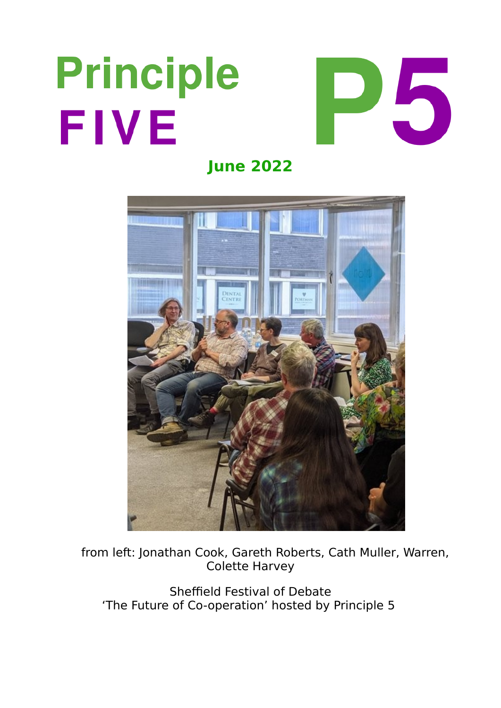# **Principle** FIVE



**June 2022**



 from left: Jonathan Cook, Gareth Roberts, Cath Muller, Warren, Colette Harvey

Sheffield Festival of Debate 'The Future of Co-operation' hosted by Principle 5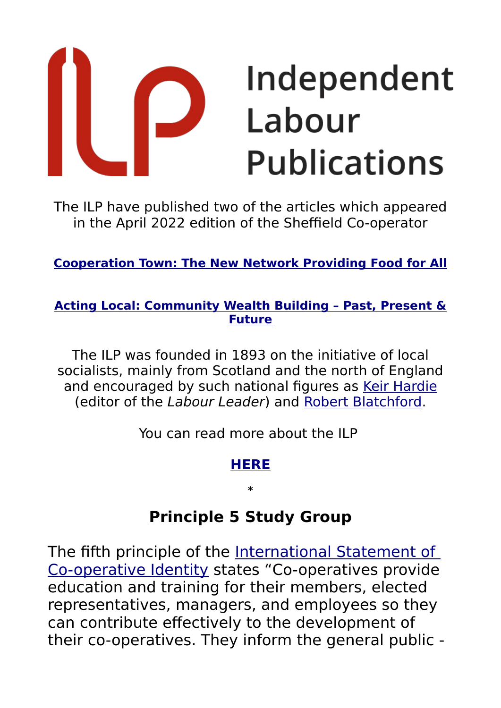# Independent Labour **Publications**

The ILP have published two of the articles which appeared in the April 2022 edition of the Sheffield Co-operator

**[Cooperation Town: The New Network Providing Food for All](https://www.independentlabour.org.uk/2022/05/23/cooperation-town-the-new-network-providing-food-for-all/)**

#### **[Acting Local: Community Wealth Building – Past, Present &](https://www.independentlabour.org.uk/2022/04/27/acting-local-community-wealth-building-past-present-future/) [Future](https://www.independentlabour.org.uk/2022/04/27/acting-local-community-wealth-building-past-present-future/)**

The ILP was founded in 1893 on the initiative of local socialists, mainly from Scotland and the north of England and encouraged by such national figures as [Keir Hardie](https://www.independentlabour.org.uk/2013/05/02/ilp120-keir-hardie-%E2%80%93-labour%E2%80%99s-champion/) (editor of the Labour Leader) and [Robert Blatchford.](https://www.independentlabour.org.uk/2017/10/16/robert-blatchford-the-clarion-and-socialism-as-a-way-of-life/)

You can read more about the ILP

#### **[HERE](https://www.independentlabour.org.uk/history/)**

**\***

## **Principle 5 Study Group**

The fifth principle of the International Statement of [Co-operative Identity](https://www.principle5.coop/wp-content/uploads/2017/07/International-Statement-of-Co-operative-Identity.pdf) states "Co-operatives provide education and training for their members, elected representatives, managers, and employees so they can contribute effectively to the development of their co-operatives. They inform the general public -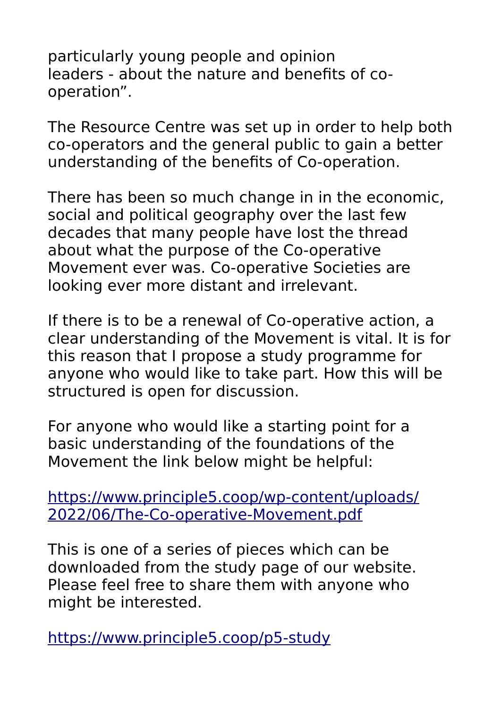particularly young people and opinion leaders - about the nature and benefits of cooperation".

The Resource Centre was set up in order to help both co-operators and the general public to gain a better understanding of the benefits of Co-operation.

There has been so much change in in the economic, social and political geography over the last few decades that many people have lost the thread about what the purpose of the Co-operative Movement ever was. Co-operative Societies are looking ever more distant and irrelevant.

If there is to be a renewal of Co-operative action, a clear understanding of the Movement is vital. It is for this reason that I propose a study programme for anyone who would like to take part. How this will be structured is open for discussion.

For anyone who would like a starting point for a basic understanding of the foundations of the Movement the link below might be helpful:

[https://www.principle5.coop/wp-content/uploads/](https://www.principle5.coop/wp-content/uploads/2022/06/The-Co-operative-Movement.pdf) [2022/06/The-Co-operative-Movement.pdf](https://www.principle5.coop/wp-content/uploads/2022/06/The-Co-operative-Movement.pdf)

This is one of a series of pieces which can be downloaded from the study page of our website. Please feel free to share them with anyone who might be interested.

<https://www.principle5.coop/p5-study>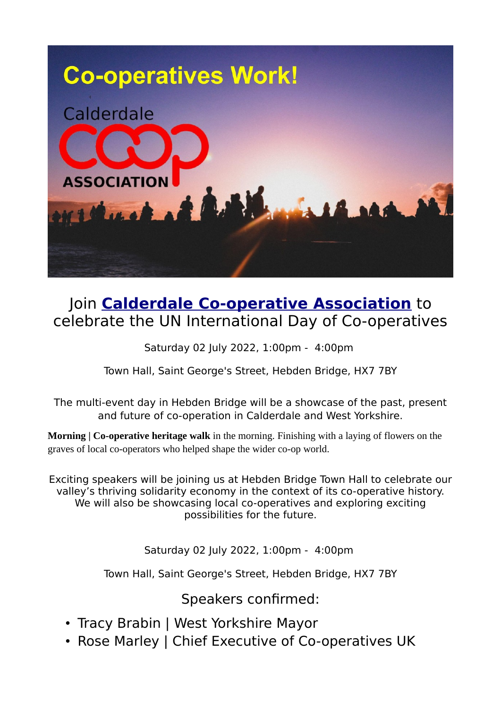

#### Join **[Calderdale Co-operative Association](https://www.calderdale.coop/)** to celebrate the UN International Day of Co-operatives

Saturday 02 July 2022, 1:00pm - 4:00pm

Town Hall, Saint George's Street, Hebden Bridge, HX7 7BY

The multi-event day in Hebden Bridge will be a showcase of the past, present and future of co-operation in Calderdale and West Yorkshire.

**Morning | Co-operative heritage walk** in the morning. Finishing with a laying of flowers on the graves of local co-operators who helped shape the wider co-op world.

Exciting speakers will be joining us at Hebden Bridge Town Hall to celebrate our valley's thriving solidarity economy in the context of its co-operative history. We will also be showcasing local co-operatives and exploring exciting possibilities for the future.

Saturday 02 July 2022, 1:00pm - 4:00pm

Town Hall, Saint George's Street, Hebden Bridge, HX7 7BY

Speakers confirmed:

- Tracy Brabin | West Yorkshire Mayor
- Rose Marley | Chief Executive of Co-operatives UK